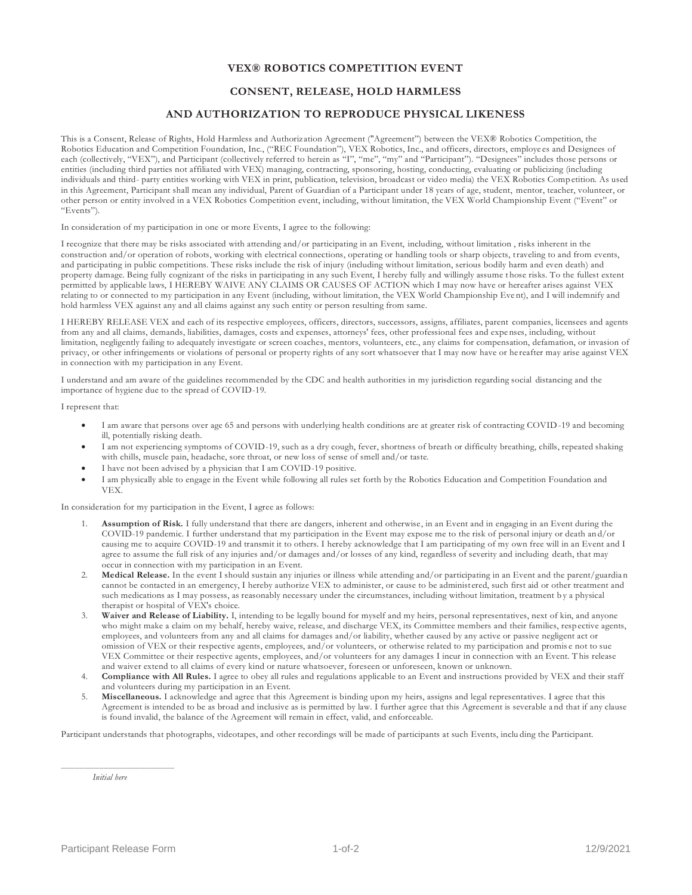## **VEX® ROBOTICS COMPETITION EVENT**

## **CONSENT, RELEASE, HOLD HARMLESS**

## **AND AUTHORIZATION TO REPRODUCE PHYSICAL LIKENESS**

This is a Consent, Release of Rights, Hold Harmless and Authoriz ation Agreement ("Agreement") between the VEX® Robotics Competition, the Robotics Education and Competition Foundation, Inc., ("REC Foundation"), VEX Robotics, Inc., and officers, directors, employe es and Designees of each (collectively, "VEX"), and Participant (collectively referred to herein as "P", "me", "my" and "Participant"). "Designees" includes those persons or entities (including third parties not affiliated with VEX) managing, contracting, sponsoring, hosting, conducting, evaluating or publicizing (including individuals and third- party entities working with VEX in print, publication, television, broadcast or video media) the VEX Robotics Comp etition. As used in this Agreement, Participant shall mean any individual, Parent of Guardian of a Participant under 18 years of age, student, mentor, teacher, volunteer, or other person or entity involved in a VEX Robotics Competition event, including, without limitation, the VEX World Championship Event ("Event" or  $E_{\text{Vent}}$ 

In consideration of my participation in one or more Events, I agree to the following:

I recognize that there may be risks associated with attending and/or participating in an Event, including, without limitation , risks inherent in the construction and/or operation of robots, working with electrical connections, operating or handling tools or sharp objects, traveling to and from events, and participating in public competitions. These risks include the risk of injury (including without limitation, serious bodily harm and even death) and property damage. Being fully cognizant of the risks in participating in any such Event, I hereby fully and willingly assume t hose risks. To the fullest extent permitted by applicable laws, I HEREBY WAIVE ANY CLAIMS OR CAUSES OF ACTION which I may now have or hereafter arises against VEX relating to or connected to my participation in any Event (including, without limitation, the VEX World Championship Eve nt), and I will indemnify and hold harmless VEX against any and all claims against any such entity or person resulting from same.

I HEREBY RELEASE VEX and each of its respective employees, officers, directors, successors, assigns, affiliates, parent companies, licensees and agents from any and all claims, demands, liabilities, damages, costs and expenses, attorneys' fees, other professional fees and expe nses, including, without limitation, negligently failing to adequately investigate or screen coaches, mentors, volunteers, etc., any claims for compensation, defamation, or invasion of privacy, or other infringements or violations of personal or property rights of any sort whatsoever that I may now have or he reafter may arise against VEX in connection with my participation in any Event.

I understand and am aware of the guidelines recommended by the CDC and health authorities in my jurisdiction regarding social distancing and the importance of hygiene due to the spread of COVID-19.

I represent that:

- I am aware that persons over age 65 and persons with underlying health conditions are at greater risk of contracting COVID-19 and becoming ill, potentially risking death.
- I am not experiencing symptoms of COVID-19, such as a dry cough, fever, shortness of breath or difficulty breathing, chills, repeated shaking with chills, muscle pain, headache, sore throat, or new loss of sense of smell and/or taste.
- I have not been advised by a physician that I am COVID-19 positive.
- I am physically able to engage in the Event while following all rules set forth by the Robotics Education and Competition Foundation and VEX.

In consideration for my participation in the Event, I agree as follows:

- 1. **Assumption of Risk.** I fully understand that there are dangers, inherent and otherwise, in an Event and in engaging in an Event during the COVID-19 pandemic. I further understand that my participation in the Event may expose me to the risk of personal injury or death an d/or causing me to acquire COVID-19 and transmit it to others. I hereby acknowledge that I am participating of my own free will in an Event and I agree to assume the full risk of any injuries and/or damages and/or losses of any kind, regardless of severity and including death, that may occur in connection with my participation in an Event.
- 2. **Medical Release.** In the event I should sustain any injuries or illness while attending and/or participating in an Event and the parent/guardia n cannot be contacted in an emergency, I hereby authorize VEX to administer, or cause to be administ ered, such first aid or other treatment and such medications as I may possess, as reasonably necessary under the circumstances, including without limitation, treatment by a physical therapist or hospital of VEX's choice.
- 3. **Waiver and Release of Liability.** I, intending to be legally bound for myself and my heirs, personal representatives, next of kin, and anyone who might make a claim on my behalf, hereby waive, release, and discharge VEX, its Committee members and their families, resp ective agents, employees, and volunteers from any and all claims for damages and/or liability, whether caused by any active or passive negligent act or omission of VEX or their respective agents, employees, and/or volunteers, or otherwise related to my participation and promis e not to sue VEX Committee or their respective agents, employees, and/or volunteers for any damages I incur in connection with an Event. T his release and waiver extend to all claims of every kind or nature whatsoever, foreseen or unforeseen, known or unknown.
- 4. **Compliance with All Rules.** I agree to obey all rules and regulations applicable to an Event and instructions provided by VEX and their staff and volunteers during my participation in an Event.
- 5. **Miscellaneous.** I acknowledge and agree that this Agreement is binding upon my heirs, assigns and legal representatives. I agree that this Agreement is intended to be as broad and inclusive as is permitted by law. I further agree that this Agreement is severable a nd that if any clause is found invalid, the balance of the Agreement will remain in effect, valid, and enforceable.

Participant understands that photographs, videotapes, and other recordings will be made of participants at such Events, inclu ding the Participant.

\_\_\_\_\_\_\_\_\_\_\_\_\_\_\_\_\_\_\_\_\_\_\_\_ *Initial here*